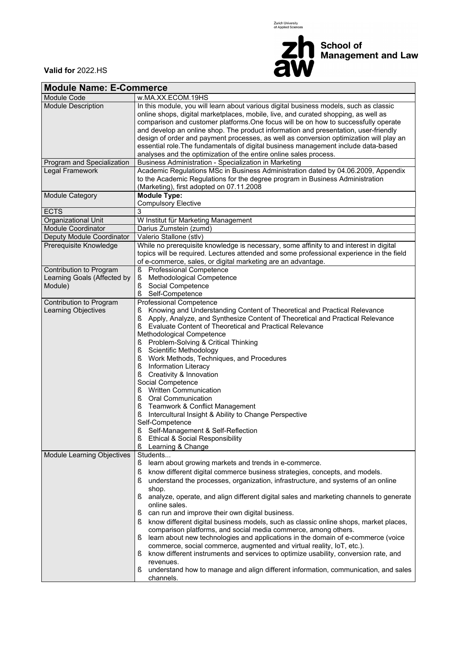Zurich University<br>of Applied Sciences



**Valid for** 2022.HS

| <b>Module Name: E-Commerce</b>                                    |                                                                                                                                                                                                                                                                                                                                                                                                                                                                                                                                                                                                                                                                                                                                                                                                                                                                                                                                                                                       |  |  |  |  |  |  |  |
|-------------------------------------------------------------------|---------------------------------------------------------------------------------------------------------------------------------------------------------------------------------------------------------------------------------------------------------------------------------------------------------------------------------------------------------------------------------------------------------------------------------------------------------------------------------------------------------------------------------------------------------------------------------------------------------------------------------------------------------------------------------------------------------------------------------------------------------------------------------------------------------------------------------------------------------------------------------------------------------------------------------------------------------------------------------------|--|--|--|--|--|--|--|
| Module Code                                                       | w.MA.XX.ECOM.19HS                                                                                                                                                                                                                                                                                                                                                                                                                                                                                                                                                                                                                                                                                                                                                                                                                                                                                                                                                                     |  |  |  |  |  |  |  |
| <b>Module Description</b>                                         | In this module, you will learn about various digital business models, such as classic<br>online shops, digital marketplaces, mobile, live, and curated shopping, as well as<br>comparison and customer platforms. One focus will be on how to successfully operate<br>and develop an online shop. The product information and presentation, user-friendly<br>design of order and payment processes, as well as conversion optimization will play an<br>essential role. The fundamentals of digital business management include data-based<br>analyses and the optimization of the entire online sales process.                                                                                                                                                                                                                                                                                                                                                                        |  |  |  |  |  |  |  |
| Program and Specialization                                        | Business Administration - Specialization in Marketing                                                                                                                                                                                                                                                                                                                                                                                                                                                                                                                                                                                                                                                                                                                                                                                                                                                                                                                                 |  |  |  |  |  |  |  |
| <b>Legal Framework</b>                                            | Academic Regulations MSc in Business Administration dated by 04.06.2009, Appendix<br>to the Academic Regulations for the degree program in Business Administration<br>(Marketing), first adopted on 07.11.2008                                                                                                                                                                                                                                                                                                                                                                                                                                                                                                                                                                                                                                                                                                                                                                        |  |  |  |  |  |  |  |
| Module Category                                                   | <b>Module Type:</b><br><b>Compulsory Elective</b>                                                                                                                                                                                                                                                                                                                                                                                                                                                                                                                                                                                                                                                                                                                                                                                                                                                                                                                                     |  |  |  |  |  |  |  |
| <b>ECTS</b>                                                       | 3                                                                                                                                                                                                                                                                                                                                                                                                                                                                                                                                                                                                                                                                                                                                                                                                                                                                                                                                                                                     |  |  |  |  |  |  |  |
| Organizational Unit                                               | W Institut für Marketing Management                                                                                                                                                                                                                                                                                                                                                                                                                                                                                                                                                                                                                                                                                                                                                                                                                                                                                                                                                   |  |  |  |  |  |  |  |
| <b>Module Coordinator</b>                                         | Darius Zumstein (zumd)                                                                                                                                                                                                                                                                                                                                                                                                                                                                                                                                                                                                                                                                                                                                                                                                                                                                                                                                                                |  |  |  |  |  |  |  |
| Deputy Module Coordinator                                         | Valerio Stallone (stlv)                                                                                                                                                                                                                                                                                                                                                                                                                                                                                                                                                                                                                                                                                                                                                                                                                                                                                                                                                               |  |  |  |  |  |  |  |
| Prerequisite Knowledge                                            | While no prerequisite knowledge is necessary, some affinity to and interest in digital<br>topics will be required. Lectures attended and some professional experience in the field<br>of e-commerce, sales, or digital marketing are an advantage.                                                                                                                                                                                                                                                                                                                                                                                                                                                                                                                                                                                                                                                                                                                                    |  |  |  |  |  |  |  |
| Contribution to Program<br>Learning Goals (Affected by<br>Module) | <b>Professional Competence</b><br>ş<br>Methodological Competence<br>ş<br>ş<br>Social Competence<br>ş<br>Self-Competence                                                                                                                                                                                                                                                                                                                                                                                                                                                                                                                                                                                                                                                                                                                                                                                                                                                               |  |  |  |  |  |  |  |
| Contribution to Program<br>Learning Objectives                    | Professional Competence<br>Knowing and Understanding Content of Theoretical and Practical Relevance<br>ş<br>$\S$<br>Apply, Analyze, and Synthesize Content of Theoretical and Practical Relevance<br>ş<br>Evaluate Content of Theoretical and Practical Relevance<br>Methodological Competence<br>Problem-Solving & Critical Thinking<br>ş<br>ş<br>Scientific Methodology<br>Work Methods, Techniques, and Procedures<br>ş<br>ş<br><b>Information Literacy</b><br>Creativity & Innovation<br>ş<br>Social Competence<br><b>Written Communication</b><br>ş<br>ş<br><b>Oral Communication</b><br>ş<br>Teamwork & Conflict Management<br>ş<br>Intercultural Insight & Ability to Change Perspective<br>Self-Competence<br>ş<br>Self-Management & Self-Reflection<br>ş<br>Ethical & Social Responsibility<br>ş<br>Learning & Change                                                                                                                                                        |  |  |  |  |  |  |  |
| Module Learning Objectives                                        | Students<br>learn about growing markets and trends in e-commerce.<br>S<br>ş<br>know different digital commerce business strategies, concepts, and models.<br>ş<br>understand the processes, organization, infrastructure, and systems of an online<br>shop.<br>ş<br>analyze, operate, and align different digital sales and marketing channels to generate<br>online sales.<br>can run and improve their own digital business.<br>S<br>know different digital business models, such as classic online shops, market places,<br>ş<br>comparison platforms, and social media commerce, among others.<br>learn about new technologies and applications in the domain of e-commerce (voice<br>S<br>commerce, social commerce, augmented and virtual reality, IoT, etc.).<br>know different instruments and services to optimize usability, conversion rate, and<br>S<br>revenues.<br>understand how to manage and align different information, communication, and sales<br>S<br>channels. |  |  |  |  |  |  |  |